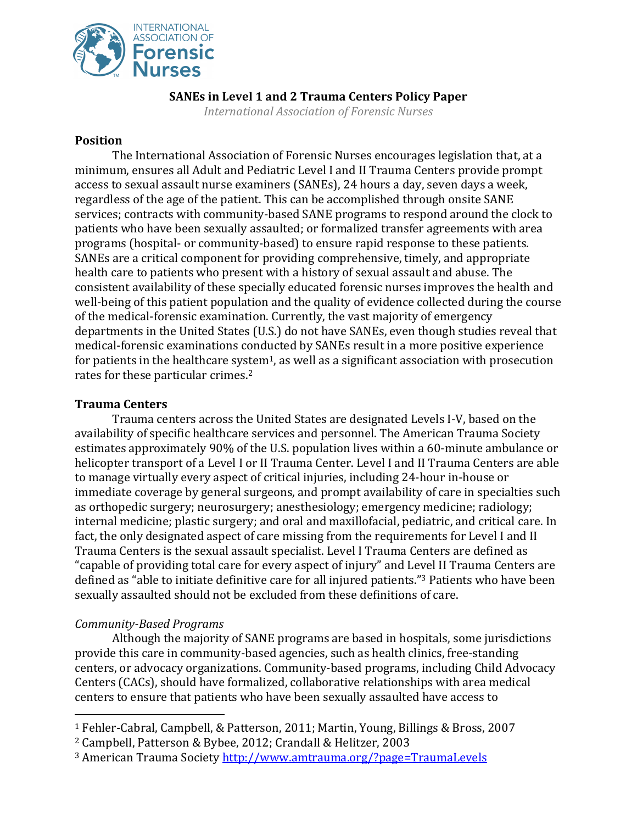

## **SANEs in Level 1 and 2 Trauma Centers Policy Paper**

*International Association of Forensic Nurses* 

### **Position**

The International Association of Forensic Nurses encourages legislation that, at a minimum, ensures all Adult and Pediatric Level I and II Trauma Centers provide prompt access to sexual assault nurse examiners (SANEs), 24 hours a day, seven days a week, regardless of the age of the patient. This can be accomplished through onsite SANE services; contracts with community-based SANE programs to respond around the clock to patients who have been sexually assaulted; or formalized transfer agreements with area programs (hospital- or community-based) to ensure rapid response to these patients. SANEs are a critical component for providing comprehensive, timely, and appropriate health care to patients who present with a history of sexual assault and abuse. The consistent availability of these specially educated forensic nurses improves the health and well-being of this patient population and the quality of evidence collected during the course of the medical-forensic examination. Currently, the vast majority of emergency departments in the United States (U.S.) do not have SANEs, even though studies reveal that medical-forensic examinations conducted by SANEs result in a more positive experience for patients in the healthcare system<sup>1</sup>, as well as a significant association with prosecution rates for these particular crimes.<sup>2</sup>

## **Trauma Centers**

Trauma centers across the United States are designated Levels I-V, based on the availability of specific healthcare services and personnel. The American Trauma Society estimates approximately 90% of the U.S. population lives within a 60-minute ambulance or helicopter transport of a Level I or II Trauma Center. Level I and II Trauma Centers are able to manage virtually every aspect of critical injuries, including 24-hour in-house or immediate coverage by general surgeons, and prompt availability of care in specialties such as orthopedic surgery; neurosurgery; anesthesiology; emergency medicine; radiology; internal medicine; plastic surgery; and oral and maxillofacial, pediatric, and critical care. In fact, the only designated aspect of care missing from the requirements for Level I and II Trauma Centers is the sexual assault specialist. Level I Trauma Centers are defined as "capable of providing total care for every aspect of injury" and Level II Trauma Centers are defined as "able to initiate definitive care for all injured patients." <sup>3</sup> Patients who have been sexually assaulted should not be excluded from these definitions of care.

# *Community-Based Programs*

Although the majority of SANE programs are based in hospitals, some jurisdictions provide this care in community-based agencies, such as health clinics, free-standing centers, or advocacy organizations. Community-based programs, including Child Advocacy Centers (CACs), should have formalized, collaborative relationships with area medical centers to ensure that patients who have been sexually assaulted have access to

<sup>1</sup> Fehler-Cabral, Campbell, & Patterson, 2011; Martin, Young, Billings & Bross, 2007

<sup>2</sup> Campbell, Patterson & Bybee, 2012; Crandall & Helitzer, 2003

<sup>3</sup> American Trauma Society<http://www.amtrauma.org/?page=TraumaLevels>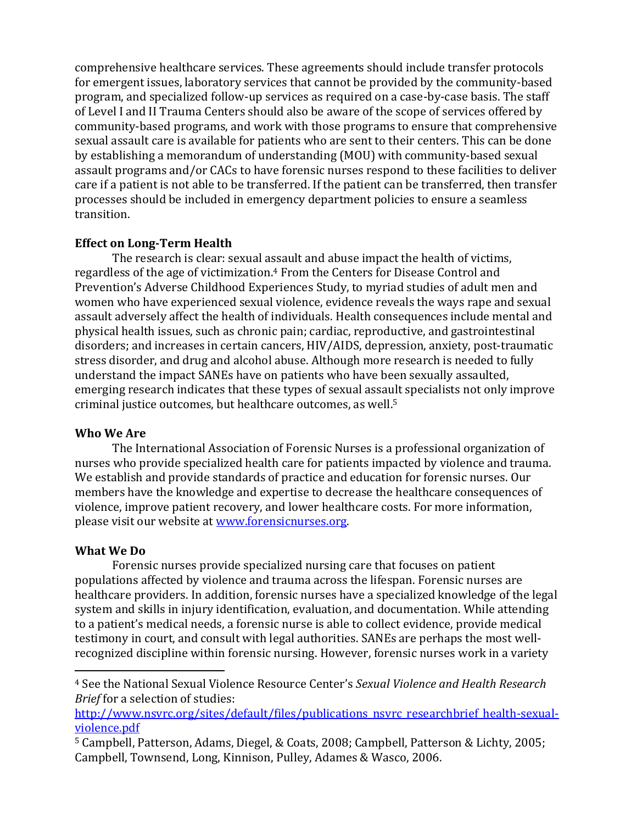comprehensive healthcare services. These agreements should include transfer protocols for emergent issues, laboratory services that cannot be provided by the community-based program, and specialized follow-up services as required on a case-by-case basis. The staff of Level I and II Trauma Centers should also be aware of the scope of services offered by community-based programs, and work with those programs to ensure that comprehensive sexual assault care is available for patients who are sent to their centers. This can be done by establishing a memorandum of understanding (MOU) with community-based sexual assault programs and/or CACs to have forensic nurses respond to these facilities to deliver care if a patient is not able to be transferred. If the patient can be transferred, then transfer processes should be included in emergency department policies to ensure a seamless transition.

## **Effect on Long-Term Health**

The research is clear: sexual assault and abuse impact the health of victims, regardless of the age of victimization.<sup>4</sup> From the Centers for Disease Control and Prevention's Adverse Childhood Experiences Study, to myriad studies of adult men and women who have experienced sexual violence, evidence reveals the ways rape and sexual assault adversely affect the health of individuals. Health consequences include mental and physical health issues, such as chronic pain; cardiac, reproductive, and gastrointestinal disorders; and increases in certain cancers, HIV/AIDS, depression, anxiety, post-traumatic stress disorder, and drug and alcohol abuse. Although more research is needed to fully understand the impact SANEs have on patients who have been sexually assaulted, emerging research indicates that these types of sexual assault specialists not only improve criminal justice outcomes, but healthcare outcomes, as well.<sup>5</sup>

### **Who We Are**

The International Association of Forensic Nurses is a professional organization of nurses who provide specialized health care for patients impacted by violence and trauma. We establish and provide standards of practice and education for forensic nurses. Our members have the knowledge and expertise to decrease the healthcare consequences of violence, improve patient recovery, and lower healthcare costs. For more information, please visit our website at [www.forensicnurses.org.](http://www.forensicnurses.org/)

### **What We Do**

Forensic nurses provide specialized nursing care that focuses on patient populations affected by violence and trauma across the lifespan. Forensic nurses are healthcare providers. In addition, forensic nurses have a specialized knowledge of the legal system and skills in injury identification, evaluation, and documentation. While attending to a patient's medical needs, a forensic nurse is able to collect evidence, provide medical testimony in court, and consult with legal authorities. SANEs are perhaps the most wellrecognized discipline within forensic nursing. However, forensic nurses work in a variety

<sup>4</sup> See the National Sexual Violence Resource Center's *Sexual Violence and Health Research Brief* for a selection of studies:

[http://www.nsvrc.org/sites/default/files/publications\\_nsvrc\\_researchbrief\\_health-sexual](http://www.nsvrc.org/sites/default/files/publications_nsvrc_researchbrief_health-sexual-violence.pdf)[violence.pdf](http://www.nsvrc.org/sites/default/files/publications_nsvrc_researchbrief_health-sexual-violence.pdf) 

<sup>5</sup> Campbell, Patterson, Adams, Diegel, & Coats, 2008; Campbell, Patterson & Lichty, 2005; Campbell, Townsend, Long, Kinnison, Pulley, Adames & Wasco, 2006.